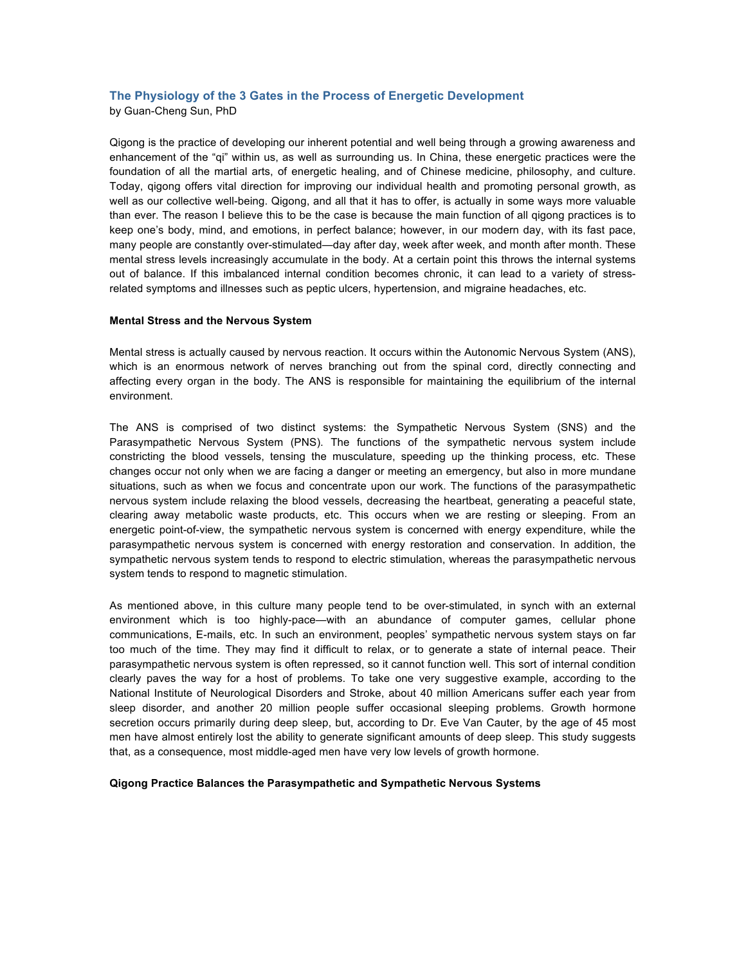# **The Physiology of the 3 Gates in the Process of Energetic Development**

by Guan-Cheng Sun, PhD

Qigong is the practice of developing our inherent potential and well being through a growing awareness and enhancement of the "qi" within us, as well as surrounding us. In China, these energetic practices were the foundation of all the martial arts, of energetic healing, and of Chinese medicine, philosophy, and culture. Today, qigong offers vital direction for improving our individual health and promoting personal growth, as well as our collective well-being. Qigong, and all that it has to offer, is actually in some ways more valuable than ever. The reason I believe this to be the case is because the main function of all qigong practices is to keep one's body, mind, and emotions, in perfect balance; however, in our modern day, with its fast pace, many people are constantly over-stimulated—day after day, week after week, and month after month. These mental stress levels increasingly accumulate in the body. At a certain point this throws the internal systems out of balance. If this imbalanced internal condition becomes chronic, it can lead to a variety of stressrelated symptoms and illnesses such as peptic ulcers, hypertension, and migraine headaches, etc.

#### **Mental Stress and the Nervous System**

Mental stress is actually caused by nervous reaction. It occurs within the Autonomic Nervous System (ANS), which is an enormous network of nerves branching out from the spinal cord, directly connecting and affecting every organ in the body. The ANS is responsible for maintaining the equilibrium of the internal environment.

The ANS is comprised of two distinct systems: the Sympathetic Nervous System (SNS) and the Parasympathetic Nervous System (PNS). The functions of the sympathetic nervous system include constricting the blood vessels, tensing the musculature, speeding up the thinking process, etc. These changes occur not only when we are facing a danger or meeting an emergency, but also in more mundane situations, such as when we focus and concentrate upon our work. The functions of the parasympathetic nervous system include relaxing the blood vessels, decreasing the heartbeat, generating a peaceful state, clearing away metabolic waste products, etc. This occurs when we are resting or sleeping. From an energetic point-of-view, the sympathetic nervous system is concerned with energy expenditure, while the parasympathetic nervous system is concerned with energy restoration and conservation. In addition, the sympathetic nervous system tends to respond to electric stimulation, whereas the parasympathetic nervous system tends to respond to magnetic stimulation.

As mentioned above, in this culture many people tend to be over-stimulated, in synch with an external environment which is too highly-pace—with an abundance of computer games, cellular phone communications, E-mails, etc. In such an environment, peoples' sympathetic nervous system stays on far too much of the time. They may find it difficult to relax, or to generate a state of internal peace. Their parasympathetic nervous system is often repressed, so it cannot function well. This sort of internal condition clearly paves the way for a host of problems. To take one very suggestive example, according to the National Institute of Neurological Disorders and Stroke, about 40 million Americans suffer each year from sleep disorder, and another 20 million people suffer occasional sleeping problems. Growth hormone secretion occurs primarily during deep sleep, but, according to Dr. Eve Van Cauter, by the age of 45 most men have almost entirely lost the ability to generate significant amounts of deep sleep. This study suggests that, as a consequence, most middle-aged men have very low levels of growth hormone.

#### **Qigong Practice Balances the Parasympathetic and Sympathetic Nervous Systems**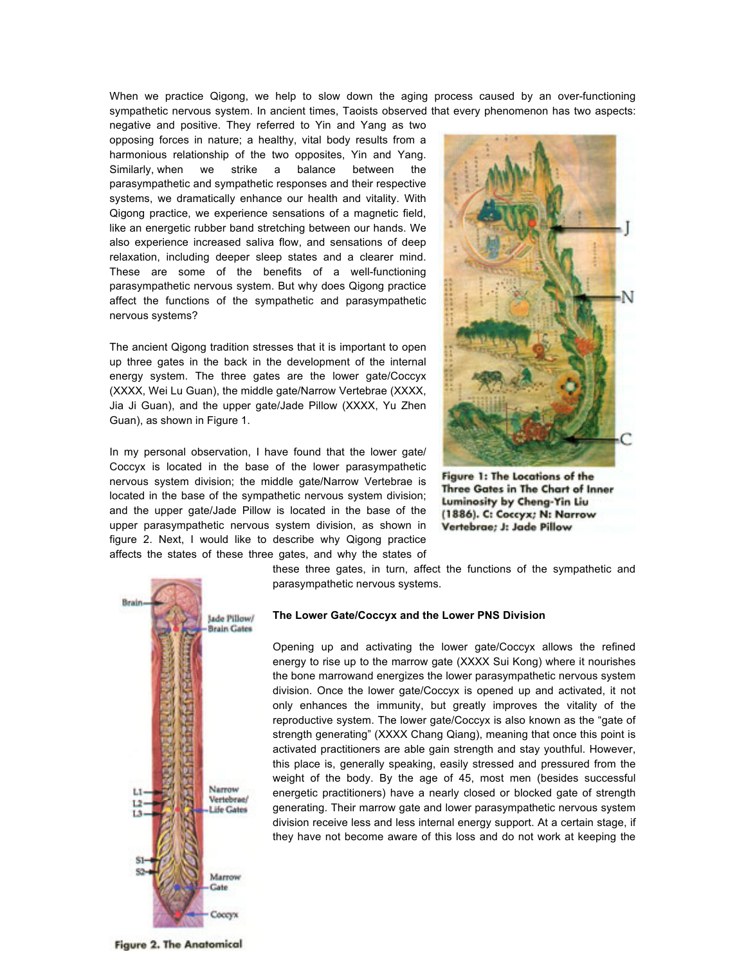When we practice Qigong, we help to slow down the aging process caused by an over-functioning sympathetic nervous system. In ancient times, Taoists observed that every phenomenon has two aspects:

negative and positive. They referred to Yin and Yang as two opposing forces in nature; a healthy, vital body results from a harmonious relationship of the two opposites, Yin and Yang. Similarly, when we strike a balance between the parasympathetic and sympathetic responses and their respective systems, we dramatically enhance our health and vitality. With Qigong practice, we experience sensations of a magnetic field, like an energetic rubber band stretching between our hands. We also experience increased saliva flow, and sensations of deep relaxation, including deeper sleep states and a clearer mind. These are some of the benefits of a well-functioning parasympathetic nervous system. But why does Qigong practice affect the functions of the sympathetic and parasympathetic nervous systems?

The ancient Qigong tradition stresses that it is important to open up three gates in the back in the development of the internal energy system. The three gates are the lower gate/Coccyx (XXXX, Wei Lu Guan), the middle gate/Narrow Vertebrae (XXXX, Jia Ji Guan), and the upper gate/Jade Pillow (XXXX, Yu Zhen Guan), as shown in Figure 1.

In my personal observation, I have found that the lower gate/ Coccyx is located in the base of the lower parasympathetic nervous system division; the middle gate/Narrow Vertebrae is located in the base of the sympathetic nervous system division; and the upper gate/Jade Pillow is located in the base of the upper parasympathetic nervous system division, as shown in figure 2. Next, I would like to describe why Qigong practice affects the states of these three gates, and why the states of



Figure 1: The Locations of the Three Gates in The Chart of Inner Luminosity by Cheng-Yin Liu (1886). C: Coccyx; N: Narrow Vertebrae; J: Jade Pillow



these three gates, in turn, affect the functions of the sympathetic and parasympathetic nervous systems.

#### **The Lower Gate/Coccyx and the Lower PNS Division**

Opening up and activating the lower gate/Coccyx allows the refined energy to rise up to the marrow gate (XXXX Sui Kong) where it nourishes the bone marrowand energizes the lower parasympathetic nervous system division. Once the lower gate/Coccyx is opened up and activated, it not only enhances the immunity, but greatly improves the vitality of the reproductive system. The lower gate/Coccyx is also known as the "gate of strength generating" (XXXX Chang Qiang), meaning that once this point is activated practitioners are able gain strength and stay youthful. However, this place is, generally speaking, easily stressed and pressured from the weight of the body. By the age of 45, most men (besides successful energetic practitioners) have a nearly closed or blocked gate of strength generating. Their marrow gate and lower parasympathetic nervous system division receive less and less internal energy support. At a certain stage, if they have not become aware of this loss and do not work at keeping the

**Figure 2. The Anatomical**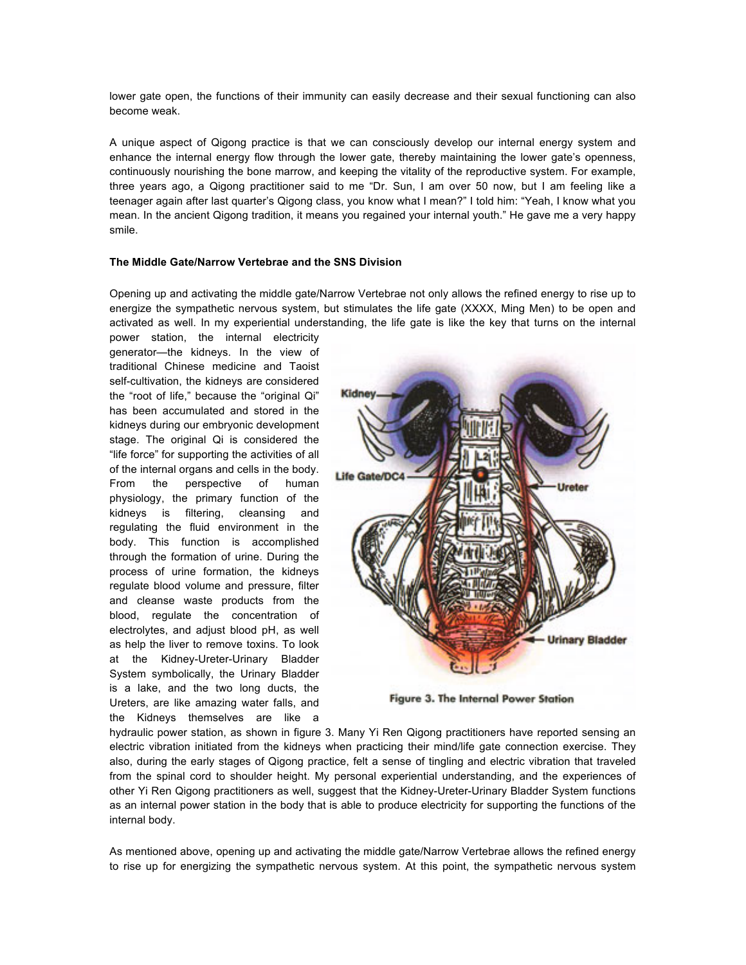lower gate open, the functions of their immunity can easily decrease and their sexual functioning can also become weak.

A unique aspect of Qigong practice is that we can consciously develop our internal energy system and enhance the internal energy flow through the lower gate, thereby maintaining the lower gate's openness, continuously nourishing the bone marrow, and keeping the vitality of the reproductive system. For example, three years ago, a Qigong practitioner said to me "Dr. Sun, I am over 50 now, but I am feeling like a teenager again after last quarter's Qigong class, you know what I mean?" I told him: "Yeah, I know what you mean. In the ancient Qigong tradition, it means you regained your internal youth." He gave me a very happy smile.

## **The Middle Gate/Narrow Vertebrae and the SNS Division**

Opening up and activating the middle gate/Narrow Vertebrae not only allows the refined energy to rise up to energize the sympathetic nervous system, but stimulates the life gate (XXXX, Ming Men) to be open and activated as well. In my experiential understanding, the life gate is like the key that turns on the internal

power station, the internal electricity generator—the kidneys. In the view of traditional Chinese medicine and Taoist self-cultivation, the kidneys are considered the "root of life," because the "original Qi" has been accumulated and stored in the kidneys during our embryonic development stage. The original Qi is considered the "life force" for supporting the activities of all of the internal organs and cells in the body. From the perspective of human physiology, the primary function of the kidneys is filtering, cleansing and regulating the fluid environment in the body. This function is accomplished through the formation of urine. During the process of urine formation, the kidneys regulate blood volume and pressure, filter and cleanse waste products from the blood, regulate the concentration of electrolytes, and adjust blood pH, as well as help the liver to remove toxins. To look at the Kidney-Ureter-Urinary Bladder System symbolically, the Urinary Bladder is a lake, and the two long ducts, the Ureters, are like amazing water falls, and the Kidneys themselves are like a



Figure 3. The Internal Power Station

hydraulic power station, as shown in figure 3. Many Yi Ren Qigong practitioners have reported sensing an electric vibration initiated from the kidneys when practicing their mind/life gate connection exercise. They also, during the early stages of Qigong practice, felt a sense of tingling and electric vibration that traveled from the spinal cord to shoulder height. My personal experiential understanding, and the experiences of other Yi Ren Qigong practitioners as well, suggest that the Kidney-Ureter-Urinary Bladder System functions as an internal power station in the body that is able to produce electricity for supporting the functions of the internal body.

As mentioned above, opening up and activating the middle gate/Narrow Vertebrae allows the refined energy to rise up for energizing the sympathetic nervous system. At this point, the sympathetic nervous system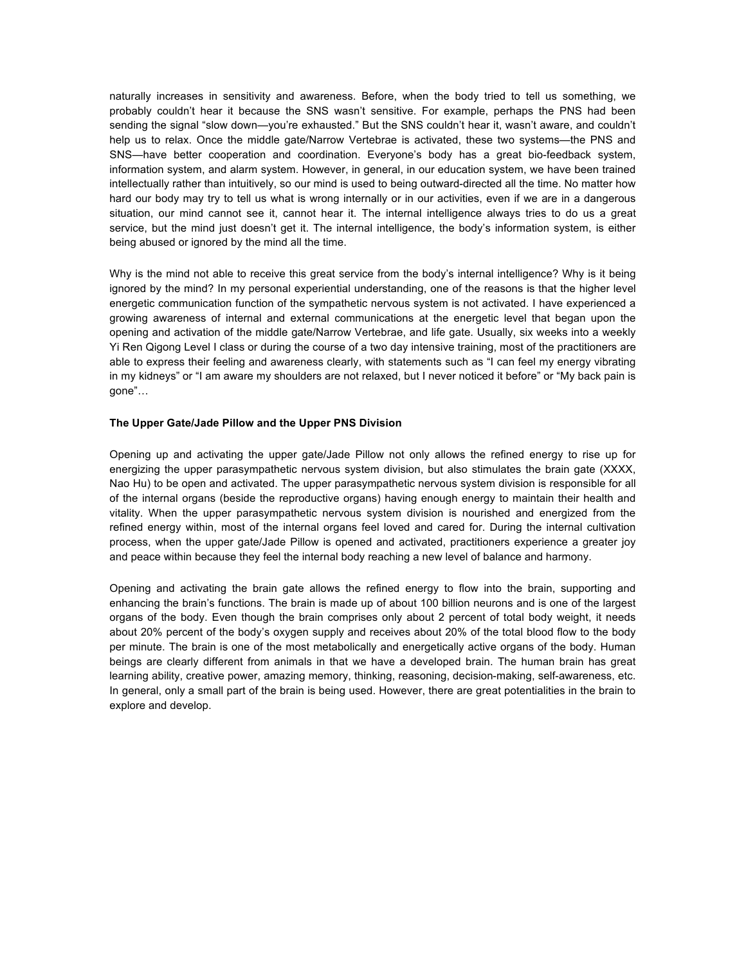naturally increases in sensitivity and awareness. Before, when the body tried to tell us something, we probably couldn't hear it because the SNS wasn't sensitive. For example, perhaps the PNS had been sending the signal "slow down—you're exhausted." But the SNS couldn't hear it, wasn't aware, and couldn't help us to relax. Once the middle gate/Narrow Vertebrae is activated, these two systems—the PNS and SNS—have better cooperation and coordination. Everyone's body has a great bio-feedback system, information system, and alarm system. However, in general, in our education system, we have been trained intellectually rather than intuitively, so our mind is used to being outward-directed all the time. No matter how hard our body may try to tell us what is wrong internally or in our activities, even if we are in a dangerous situation, our mind cannot see it, cannot hear it. The internal intelligence always tries to do us a great service, but the mind just doesn't get it. The internal intelligence, the body's information system, is either being abused or ignored by the mind all the time.

Why is the mind not able to receive this great service from the body's internal intelligence? Why is it being ignored by the mind? In my personal experiential understanding, one of the reasons is that the higher level energetic communication function of the sympathetic nervous system is not activated. I have experienced a growing awareness of internal and external communications at the energetic level that began upon the opening and activation of the middle gate/Narrow Vertebrae, and life gate. Usually, six weeks into a weekly Yi Ren Qigong Level I class or during the course of a two day intensive training, most of the practitioners are able to express their feeling and awareness clearly, with statements such as "I can feel my energy vibrating in my kidneys" or "I am aware my shoulders are not relaxed, but I never noticed it before" or "My back pain is gone"…

### **The Upper Gate/Jade Pillow and the Upper PNS Division**

Opening up and activating the upper gate/Jade Pillow not only allows the refined energy to rise up for energizing the upper parasympathetic nervous system division, but also stimulates the brain gate (XXXX, Nao Hu) to be open and activated. The upper parasympathetic nervous system division is responsible for all of the internal organs (beside the reproductive organs) having enough energy to maintain their health and vitality. When the upper parasympathetic nervous system division is nourished and energized from the refined energy within, most of the internal organs feel loved and cared for. During the internal cultivation process, when the upper gate/Jade Pillow is opened and activated, practitioners experience a greater joy and peace within because they feel the internal body reaching a new level of balance and harmony.

Opening and activating the brain gate allows the refined energy to flow into the brain, supporting and enhancing the brain's functions. The brain is made up of about 100 billion neurons and is one of the largest organs of the body. Even though the brain comprises only about 2 percent of total body weight, it needs about 20% percent of the body's oxygen supply and receives about 20% of the total blood flow to the body per minute. The brain is one of the most metabolically and energetically active organs of the body. Human beings are clearly different from animals in that we have a developed brain. The human brain has great learning ability, creative power, amazing memory, thinking, reasoning, decision-making, self-awareness, etc. In general, only a small part of the brain is being used. However, there are great potentialities in the brain to explore and develop.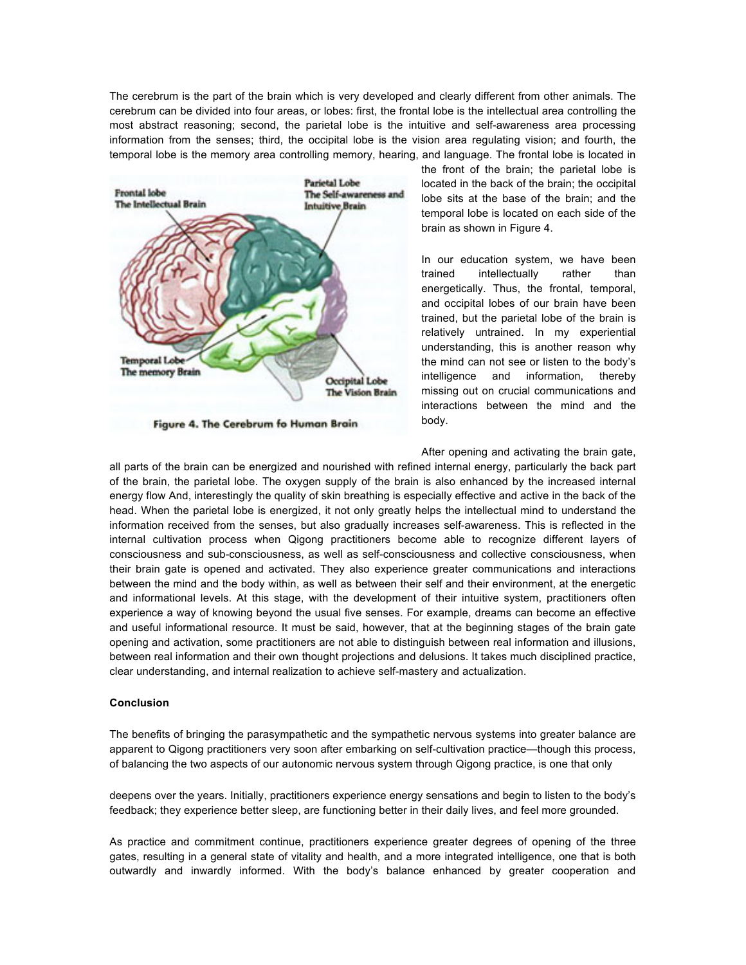The cerebrum is the part of the brain which is very developed and clearly different from other animals. The cerebrum can be divided into four areas, or lobes: first, the frontal lobe is the intellectual area controlling the most abstract reasoning; second, the parietal lobe is the intuitive and self-awareness area processing information from the senses; third, the occipital lobe is the vision area regulating vision; and fourth, the temporal lobe is the memory area controlling memory, hearing, and language. The frontal lobe is located in



Figure 4. The Cerebrum fo Human Brain

the front of the brain; the parietal lobe is located in the back of the brain; the occipital lobe sits at the base of the brain; and the temporal lobe is located on each side of the brain as shown in Figure 4.

In our education system, we have been trained intellectually rather than energetically. Thus, the frontal, temporal, and occipital lobes of our brain have been trained, but the parietal lobe of the brain is relatively untrained. In my experiential understanding, this is another reason why the mind can not see or listen to the body's intelligence and information, thereby missing out on crucial communications and interactions between the mind and the body.

After opening and activating the brain gate, all parts of the brain can be energized and nourished with refined internal energy, particularly the back part of the brain, the parietal lobe. The oxygen supply of the brain is also enhanced by the increased internal energy flow And, interestingly the quality of skin breathing is especially effective and active in the back of the head. When the parietal lobe is energized, it not only greatly helps the intellectual mind to understand the information received from the senses, but also gradually increases self-awareness. This is reflected in the internal cultivation process when Qigong practitioners become able to recognize different layers of consciousness and sub-consciousness, as well as self-consciousness and collective consciousness, when their brain gate is opened and activated. They also experience greater communications and interactions between the mind and the body within, as well as between their self and their environment, at the energetic and informational levels. At this stage, with the development of their intuitive system, practitioners often experience a way of knowing beyond the usual five senses. For example, dreams can become an effective and useful informational resource. It must be said, however, that at the beginning stages of the brain gate opening and activation, some practitioners are not able to distinguish between real information and illusions, between real information and their own thought projections and delusions. It takes much disciplined practice, clear understanding, and internal realization to achieve self-mastery and actualization.

## **Conclusion**

The benefits of bringing the parasympathetic and the sympathetic nervous systems into greater balance are apparent to Qigong practitioners very soon after embarking on self-cultivation practice—though this process, of balancing the two aspects of our autonomic nervous system through Qigong practice, is one that only

deepens over the years. Initially, practitioners experience energy sensations and begin to listen to the body's feedback; they experience better sleep, are functioning better in their daily lives, and feel more grounded.

As practice and commitment continue, practitioners experience greater degrees of opening of the three gates, resulting in a general state of vitality and health, and a more integrated intelligence, one that is both outwardly and inwardly informed. With the body's balance enhanced by greater cooperation and